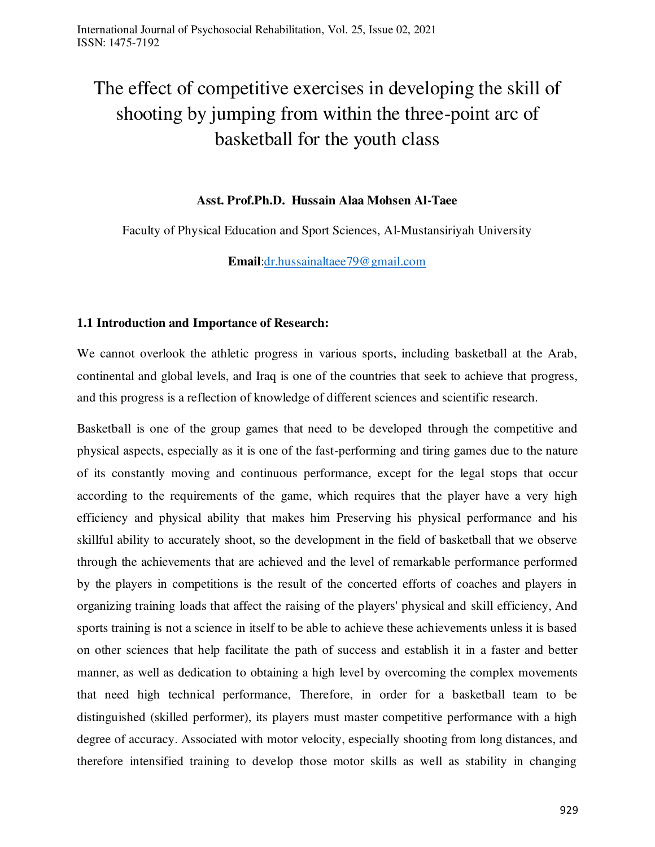# The effect of competitive exercises in developing the skill of shooting by jumping from within the three-point arc of basketball for the youth class

## **Asst. Prof.Ph.D. Hussain Alaa Mohsen Al-Taee**

Faculty of Physical Education and Sport Sciences, Al-Mustansiriyah University

**Email**[:dr.hussainaltaee79@gmail.com](mailto:dr.hussainaltaee79@gmail.com)

#### **1.1 Introduction and Importance of Research:**

We cannot overlook the athletic progress in various sports, including basketball at the Arab, continental and global levels, and Iraq is one of the countries that seek to achieve that progress, and this progress is a reflection of knowledge of different sciences and scientific research.

Basketball is one of the group games that need to be developed through the competitive and physical aspects, especially as it is one of the fast-performing and tiring games due to the nature of its constantly moving and continuous performance, except for the legal stops that occur according to the requirements of the game, which requires that the player have a very high efficiency and physical ability that makes him Preserving his physical performance and his skillful ability to accurately shoot, so the development in the field of basketball that we observe through the achievements that are achieved and the level of remarkable performance performed by the players in competitions is the result of the concerted efforts of coaches and players in organizing training loads that affect the raising of the players' physical and skill efficiency, And sports training is not a science in itself to be able to achieve these achievements unless it is based on other sciences that help facilitate the path of success and establish it in a faster and better manner, as well as dedication to obtaining a high level by overcoming the complex movements that need high technical performance, Therefore, in order for a basketball team to be distinguished (skilled performer), its players must master competitive performance with a high degree of accuracy. Associated with motor velocity, especially shooting from long distances, and therefore intensified training to develop those motor skills as well as stability in changing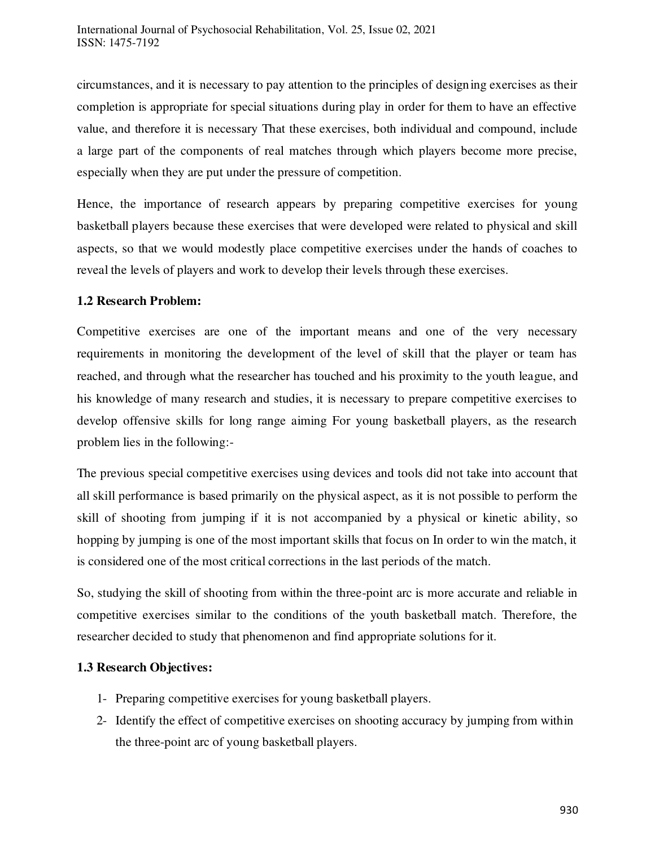circumstances, and it is necessary to pay attention to the principles of designing exercises as their completion is appropriate for special situations during play in order for them to have an effective value, and therefore it is necessary That these exercises, both individual and compound, include a large part of the components of real matches through which players become more precise, especially when they are put under the pressure of competition.

Hence, the importance of research appears by preparing competitive exercises for young basketball players because these exercises that were developed were related to physical and skill aspects, so that we would modestly place competitive exercises under the hands of coaches to reveal the levels of players and work to develop their levels through these exercises.

## **1.2 Research Problem:**

Competitive exercises are one of the important means and one of the very necessary requirements in monitoring the development of the level of skill that the player or team has reached, and through what the researcher has touched and his proximity to the youth league, and his knowledge of many research and studies, it is necessary to prepare competitive exercises to develop offensive skills for long range aiming For young basketball players, as the research problem lies in the following:-

The previous special competitive exercises using devices and tools did not take into account that all skill performance is based primarily on the physical aspect, as it is not possible to perform the skill of shooting from jumping if it is not accompanied by a physical or kinetic ability, so hopping by jumping is one of the most important skills that focus on In order to win the match, it is considered one of the most critical corrections in the last periods of the match.

So, studying the skill of shooting from within the three-point arc is more accurate and reliable in competitive exercises similar to the conditions of the youth basketball match. Therefore, the researcher decided to study that phenomenon and find appropriate solutions for it.

## **1.3 Research Objectives:**

- 1- Preparing competitive exercises for young basketball players.
- 2- Identify the effect of competitive exercises on shooting accuracy by jumping from within the three-point arc of young basketball players.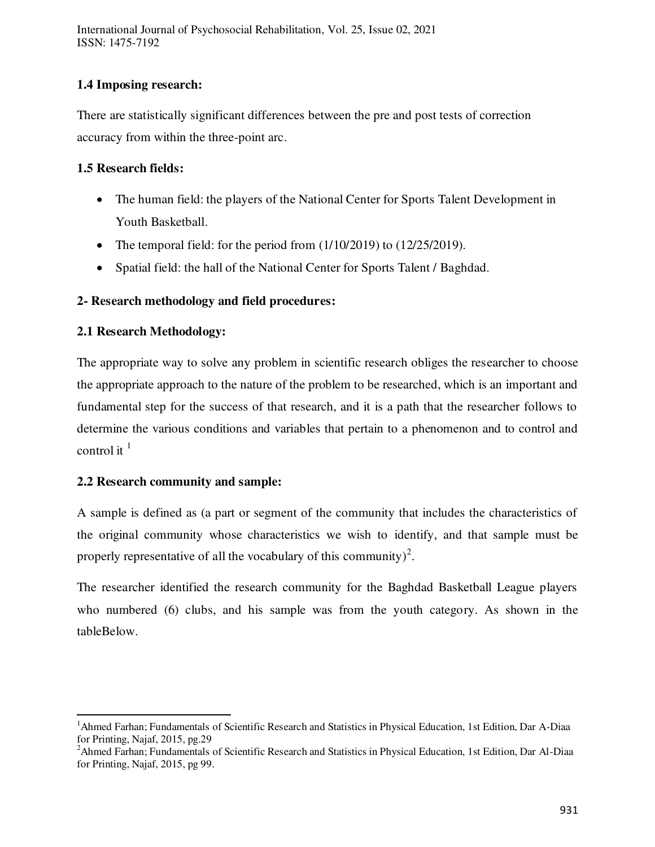International Journal of Psychosocial Rehabilitation, Vol. 25, Issue 02, 2021 ISSN: 1475-7192

# **1.4 Imposing research:**

There are statistically significant differences between the pre and post tests of correction accuracy from within the three-point arc.

# **1.5 Research fields:**

- The human field: the players of the National Center for Sports Talent Development in Youth Basketball.
- The temporal field: for the period from  $(1/10/2019)$  to  $(12/25/2019)$ .
- Spatial field: the hall of the National Center for Sports Talent / Baghdad.

# **2- Research methodology and field procedures:**

## **2.1 Research Methodology:**

The appropriate way to solve any problem in scientific research obliges the researcher to choose the appropriate approach to the nature of the problem to be researched, which is an important and fundamental step for the success of that research, and it is a path that the researcher follows to determine the various conditions and variables that pertain to a phenomenon and to control and control it  $<sup>1</sup>$ </sup>

## **2.2 Research community and sample:**

 $\overline{a}$ 

A sample is defined as (a part or segment of the community that includes the characteristics of the original community whose characteristics we wish to identify, and that sample must be properly representative of all the vocabulary of this community)<sup>2</sup>.

The researcher identified the research community for the Baghdad Basketball League players who numbered (6) clubs, and his sample was from the youth category. As shown in the tableBelow.

<sup>&</sup>lt;sup>1</sup>Ahmed Farhan; Fundamentals of Scientific Research and Statistics in Physical Education, 1st Edition, Dar A-Diaa for Printing, Najaf, 2015, pg.29

<sup>&</sup>lt;sup>2</sup>Ahmed Farhan; Fundamentals of Scientific Research and Statistics in Physical Education, 1st Edition, Dar Al-Diaa for Printing, Najaf, 2015, pg 99.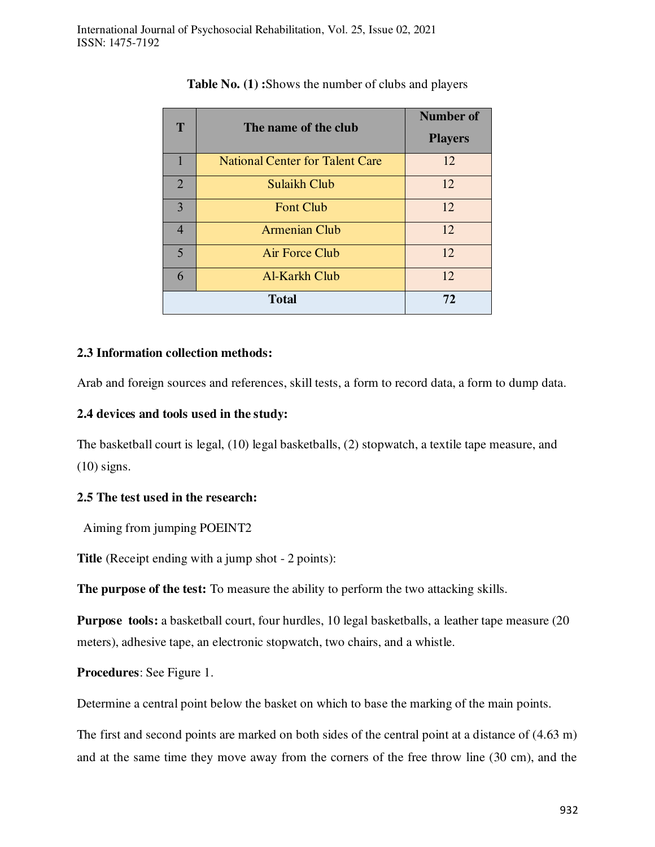| T              |                                        | Number of      |  |  |
|----------------|----------------------------------------|----------------|--|--|
|                | The name of the club                   | <b>Players</b> |  |  |
|                | <b>National Center for Talent Care</b> | 12             |  |  |
| $\overline{2}$ | Sulaikh Club                           | 12             |  |  |
| $\overline{3}$ | <b>Font Club</b>                       | 12             |  |  |
| $\overline{4}$ | <b>Armenian Club</b>                   | 12             |  |  |
| 5              | Air Force Club                         | 12             |  |  |
| 6              | Al-Karkh Club                          | 12             |  |  |
|                | <b>Total</b>                           | 72             |  |  |

**Table No. (1) :**Shows the number of clubs and players

## **2.3 Information collection methods:**

Arab and foreign sources and references, skill tests, a form to record data, a form to dump data.

## **2.4 devices and tools used in the study:**

The basketball court is legal, (10) legal basketballs, (2) stopwatch, a textile tape measure, and (10) signs.

## **2.5 The test used in the research:**

Aiming from jumping POEINT2

**Title** (Receipt ending with a jump shot - 2 points):

**The purpose of the test:** To measure the ability to perform the two attacking skills.

**Purpose tools:** a basketball court, four hurdles, 10 legal basketballs, a leather tape measure (20 meters), adhesive tape, an electronic stopwatch, two chairs, and a whistle.

**Procedures**: See Figure 1.

Determine a central point below the basket on which to base the marking of the main points.

The first and second points are marked on both sides of the central point at a distance of (4.63 m) and at the same time they move away from the corners of the free throw line (30 cm), and the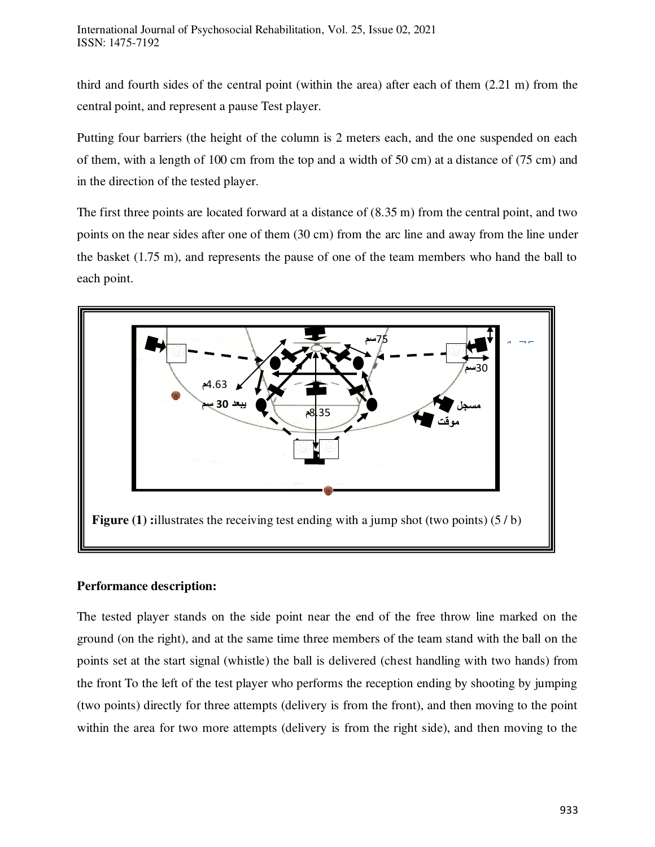third and fourth sides of the central point (within the area) after each of them (2.21 m) from the central point, and represent a pause Test player.

Putting four barriers (the height of the column is 2 meters each, and the one suspended on each of them, with a length of 100 cm from the top and a width of 50 cm) at a distance of (75 cm) and in the direction of the tested player.

The first three points are located forward at a distance of (8.35 m) from the central point, and two points on the near sides after one of them (30 cm) from the arc line and away from the line under the basket (1.75 m), and represents the pause of one of the team members who hand the ball to each point.



## **Performance description:**

The tested player stands on the side point near the end of the free throw line marked on the ground (on the right), and at the same time three members of the team stand with the ball on the points set at the start signal (whistle) the ball is delivered (chest handling with two hands) from the front To the left of the test player who performs the reception ending by shooting by jumping (two points) directly for three attempts (delivery is from the front), and then moving to the point within the area for two more attempts (delivery is from the right side), and then moving to the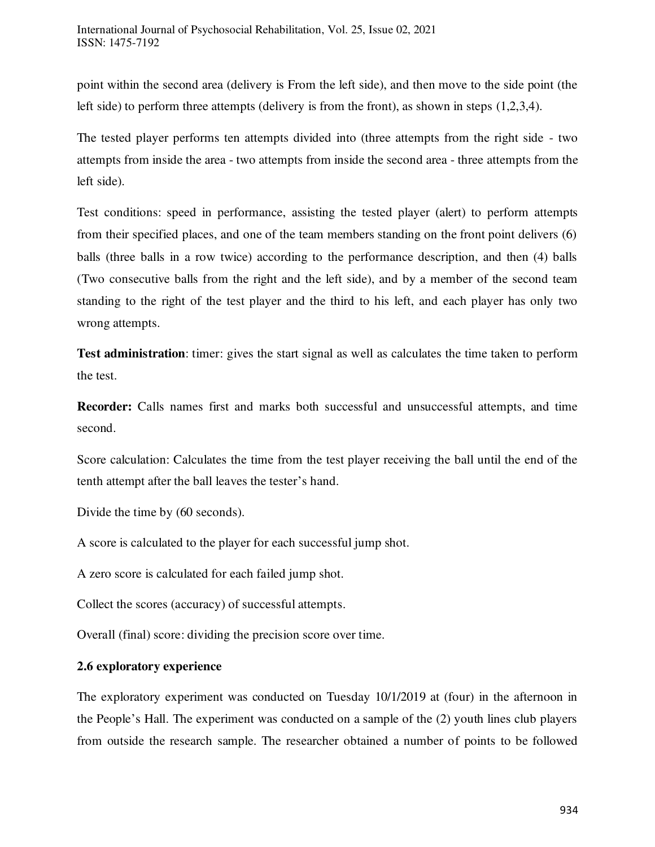point within the second area (delivery is From the left side), and then move to the side point (the left side) to perform three attempts (delivery is from the front), as shown in steps (1,2,3,4).

The tested player performs ten attempts divided into (three attempts from the right side - two attempts from inside the area - two attempts from inside the second area - three attempts from the left side).

Test conditions: speed in performance, assisting the tested player (alert) to perform attempts from their specified places, and one of the team members standing on the front point delivers (6) balls (three balls in a row twice) according to the performance description, and then (4) balls (Two consecutive balls from the right and the left side), and by a member of the second team standing to the right of the test player and the third to his left, and each player has only two wrong attempts.

**Test administration**: timer: gives the start signal as well as calculates the time taken to perform the test.

**Recorder:** Calls names first and marks both successful and unsuccessful attempts, and time second.

Score calculation: Calculates the time from the test player receiving the ball until the end of the tenth attempt after the ball leaves the tester's hand.

Divide the time by (60 seconds).

A score is calculated to the player for each successful jump shot.

A zero score is calculated for each failed jump shot.

Collect the scores (accuracy) of successful attempts.

Overall (final) score: dividing the precision score over time.

## **2.6 exploratory experience**

The exploratory experiment was conducted on Tuesday 10/1/2019 at (four) in the afternoon in the People's Hall. The experiment was conducted on a sample of the (2) youth lines club players from outside the research sample. The researcher obtained a number of points to be followed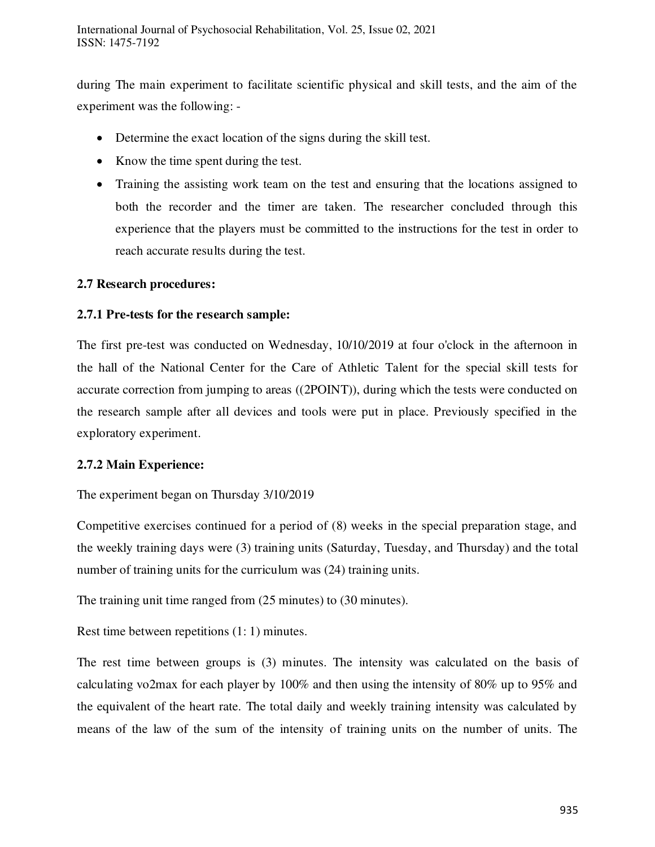during The main experiment to facilitate scientific physical and skill tests, and the aim of the experiment was the following: -

- Determine the exact location of the signs during the skill test.
- Know the time spent during the test.
- Training the assisting work team on the test and ensuring that the locations assigned to both the recorder and the timer are taken. The researcher concluded through this experience that the players must be committed to the instructions for the test in order to reach accurate results during the test.

## **2.7 Research procedures:**

## **2.7.1 Pre-tests for the research sample:**

The first pre-test was conducted on Wednesday, 10/10/2019 at four o'clock in the afternoon in the hall of the National Center for the Care of Athletic Talent for the special skill tests for accurate correction from jumping to areas ((2POINT)), during which the tests were conducted on the research sample after all devices and tools were put in place. Previously specified in the exploratory experiment.

#### **2.7.2 Main Experience:**

#### The experiment began on Thursday 3/10/2019

Competitive exercises continued for a period of (8) weeks in the special preparation stage, and the weekly training days were (3) training units (Saturday, Tuesday, and Thursday) and the total number of training units for the curriculum was (24) training units.

The training unit time ranged from (25 minutes) to (30 minutes).

Rest time between repetitions (1: 1) minutes.

The rest time between groups is (3) minutes. The intensity was calculated on the basis of calculating vo2max for each player by 100% and then using the intensity of 80% up to 95% and the equivalent of the heart rate. The total daily and weekly training intensity was calculated by means of the law of the sum of the intensity of training units on the number of units. The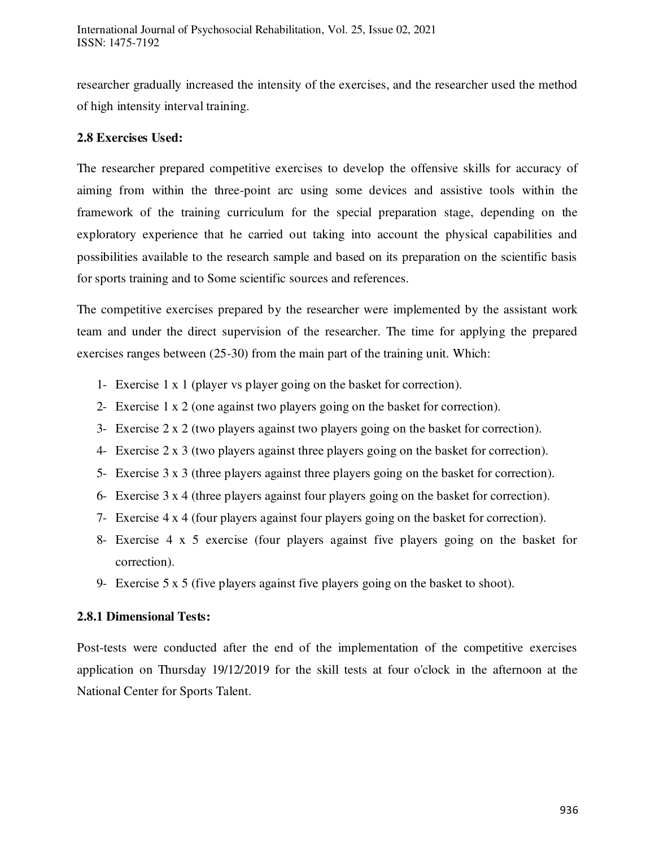researcher gradually increased the intensity of the exercises, and the researcher used the method of high intensity interval training.

# **2.8 Exercises Used:**

The researcher prepared competitive exercises to develop the offensive skills for accuracy of aiming from within the three-point arc using some devices and assistive tools within the framework of the training curriculum for the special preparation stage, depending on the exploratory experience that he carried out taking into account the physical capabilities and possibilities available to the research sample and based on its preparation on the scientific basis for sports training and to Some scientific sources and references.

The competitive exercises prepared by the researcher were implemented by the assistant work team and under the direct supervision of the researcher. The time for applying the prepared exercises ranges between (25-30) from the main part of the training unit. Which:

- 1- Exercise 1 x 1 (player vs player going on the basket for correction).
- 2- Exercise 1 x 2 (one against two players going on the basket for correction).
- 3- Exercise 2 x 2 (two players against two players going on the basket for correction).
- 4- Exercise 2 x 3 (two players against three players going on the basket for correction).
- 5- Exercise 3 x 3 (three players against three players going on the basket for correction).
- 6- Exercise 3 x 4 (three players against four players going on the basket for correction).
- 7- Exercise 4 x 4 (four players against four players going on the basket for correction).
- 8- Exercise 4 x 5 exercise (four players against five players going on the basket for correction).
- 9- Exercise 5 x 5 (five players against five players going on the basket to shoot).

## **2.8.1 Dimensional Tests:**

Post-tests were conducted after the end of the implementation of the competitive exercises application on Thursday 19/12/2019 for the skill tests at four o'clock in the afternoon at the National Center for Sports Talent.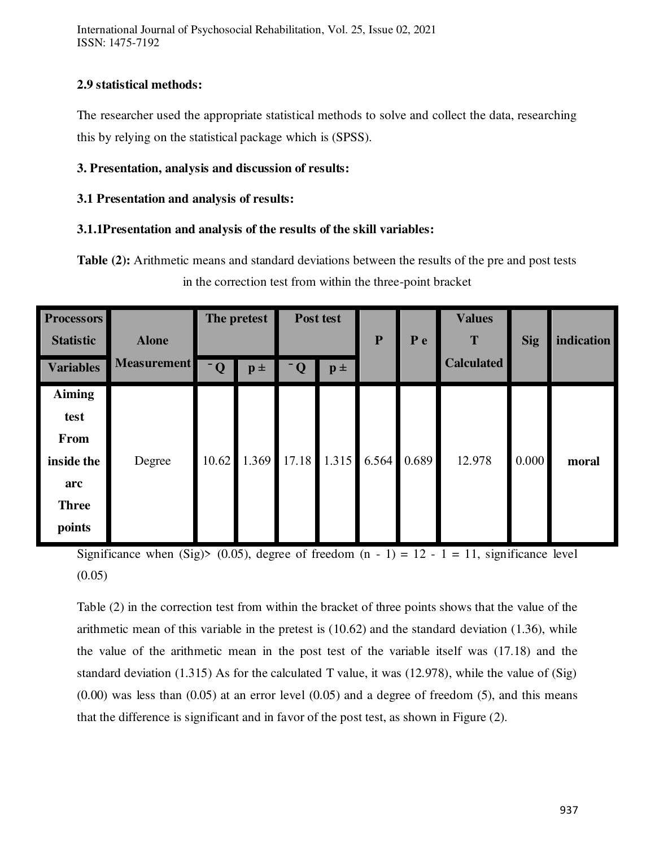International Journal of Psychosocial Rehabilitation, Vol. 25, Issue 02, 2021 ISSN: 1475-7192

## **2.9 statistical methods:**

The researcher used the appropriate statistical methods to solve and collect the data, researching this by relying on the statistical package which is (SPSS).

# **3. Presentation, analysis and discussion of results:**

# **3.1 Presentation and analysis of results:**

# **3.1.1Presentation and analysis of the results of the skill variables:**

**Table (2):** Arithmetic means and standard deviations between the results of the pre and post tests in the correction test from within the three-point bracket

| <b>Processors</b><br><b>Statistic</b>                                               | <b>Alone</b>       | The pretest             |                    | Post test               |                | ${\bf P}$ | P e   | <b>Values</b><br>T | <b>Sig</b> | indication |
|-------------------------------------------------------------------------------------|--------------------|-------------------------|--------------------|-------------------------|----------------|-----------|-------|--------------------|------------|------------|
| <b>Variables</b>                                                                    | <b>Measurement</b> | $\overline{\mathbf{Q}}$ | $\mathbf{p}$ $\pm$ | $\overline{\mathbf{Q}}$ | $\mathbf{p}$ ± |           |       | <b>Calculated</b>  |            |            |
| <b>Aiming</b><br>test<br><b>From</b><br>inside the<br>arc<br><b>Three</b><br>points | Degree             | 10.62                   | 1.369              | 17.18                   | 1.315          | 6.564     | 0.689 | 12.978             | 0.000      | moral      |

Significance when (Sig)> (0.05), degree of freedom  $(n - 1) = 12 - 1 = 11$ , significance level  $(0.05)$ 

Table (2) in the correction test from within the bracket of three points shows that the value of the arithmetic mean of this variable in the pretest is (10.62) and the standard deviation (1.36), while the value of the arithmetic mean in the post test of the variable itself was (17.18) and the standard deviation (1.315) As for the calculated T value, it was (12.978), while the value of (Sig)  $(0.00)$  was less than  $(0.05)$  at an error level  $(0.05)$  and a degree of freedom  $(5)$ , and this means that the difference is significant and in favor of the post test, as shown in Figure (2).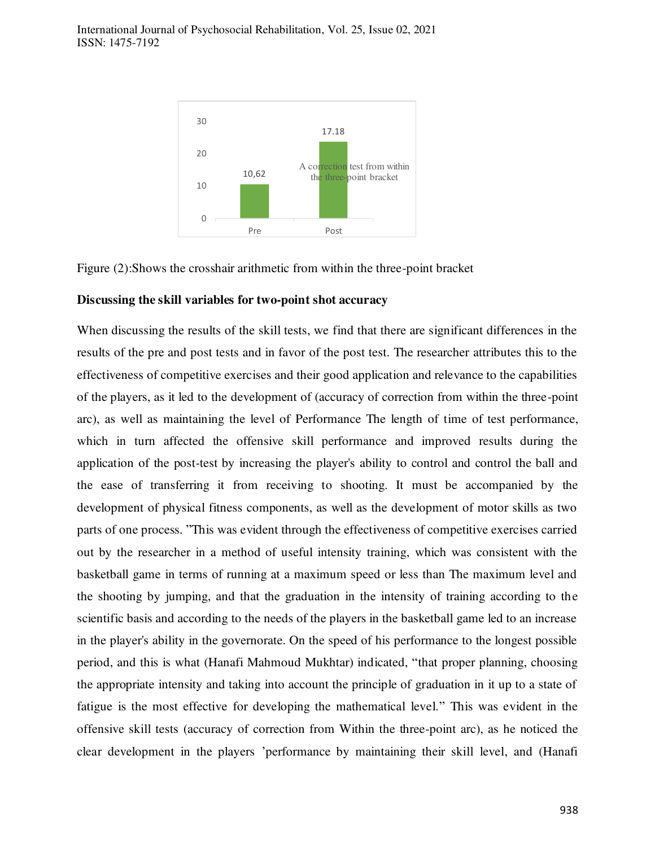

Figure (2):Shows the crosshair arithmetic from within the three-point bracket

#### **Discussing the skill variables for two-point shot accuracy**

When discussing the results of the skill tests, we find that there are significant differences in the results of the pre and post tests and in favor of the post test. The researcher attributes this to the effectiveness of competitive exercises and their good application and relevance to the capabilities of the players, as it led to the development of (accuracy of correction from within the three-point arc), as well as maintaining the level of Performance The length of time of test performance, which in turn affected the offensive skill performance and improved results during the application of the post-test by increasing the player's ability to control and control the ball and the ease of transferring it from receiving to shooting. It must be accompanied by the development of physical fitness components, as well as the development of motor skills as two parts of one process. "This was evident through the effectiveness of competitive exercises carried out by the researcher in a method of useful intensity training, which was consistent with the basketball game in terms of running at a maximum speed or less than The maximum level and the shooting by jumping, and that the graduation in the intensity of training according to the scientific basis and according to the needs of the players in the basketball game led to an increase in the player's ability in the governorate. On the speed of his performance to the longest possible period, and this is what (Hanafi Mahmoud Mukhtar) indicated, "that proper planning, choosing the appropriate intensity and taking into account the principle of graduation in it up to a state of fatigue is the most effective for developing the mathematical level." This was evident in the offensive skill tests (accuracy of correction from Within the three-point arc), as he noticed the clear development in the players 'performance by maintaining their skill level, and (Hanafi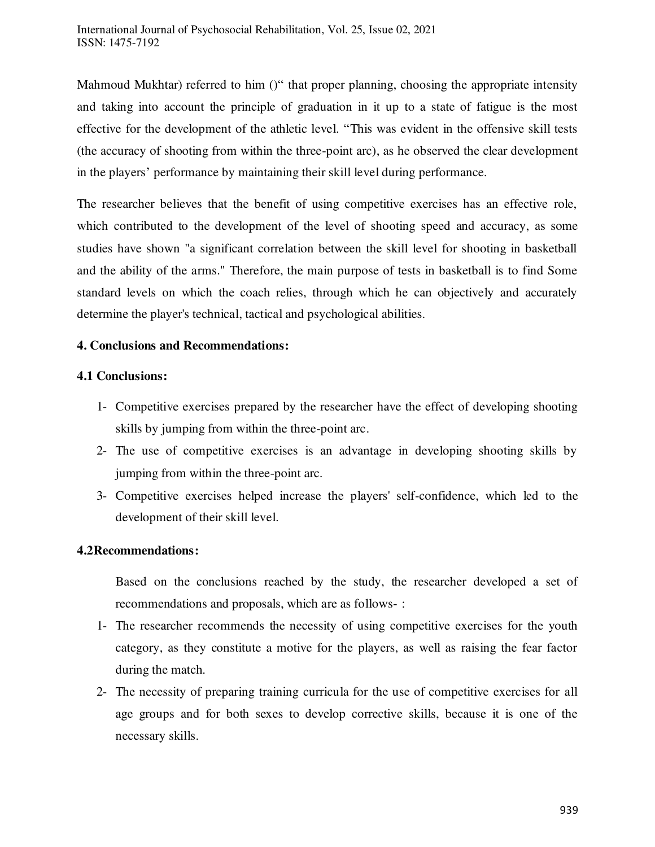Mahmoud Mukhtar) referred to him ()" that proper planning, choosing the appropriate intensity and taking into account the principle of graduation in it up to a state of fatigue is the most effective for the development of the athletic level. "This was evident in the offensive skill tests (the accuracy of shooting from within the three-point arc), as he observed the clear development in the players' performance by maintaining their skill level during performance.

The researcher believes that the benefit of using competitive exercises has an effective role, which contributed to the development of the level of shooting speed and accuracy, as some studies have shown "a significant correlation between the skill level for shooting in basketball and the ability of the arms." Therefore, the main purpose of tests in basketball is to find Some standard levels on which the coach relies, through which he can objectively and accurately determine the player's technical, tactical and psychological abilities.

## **4. Conclusions and Recommendations:**

#### **4.1 Conclusions:**

- 1- Competitive exercises prepared by the researcher have the effect of developing shooting skills by jumping from within the three-point arc.
- 2- The use of competitive exercises is an advantage in developing shooting skills by jumping from within the three-point arc.
- 3- Competitive exercises helped increase the players' self-confidence, which led to the development of their skill level.

#### **4.2Recommendations:**

Based on the conclusions reached by the study, the researcher developed a set of recommendations and proposals, which are as follows- :

- 1- The researcher recommends the necessity of using competitive exercises for the youth category, as they constitute a motive for the players, as well as raising the fear factor during the match.
- 2- The necessity of preparing training curricula for the use of competitive exercises for all age groups and for both sexes to develop corrective skills, because it is one of the necessary skills.